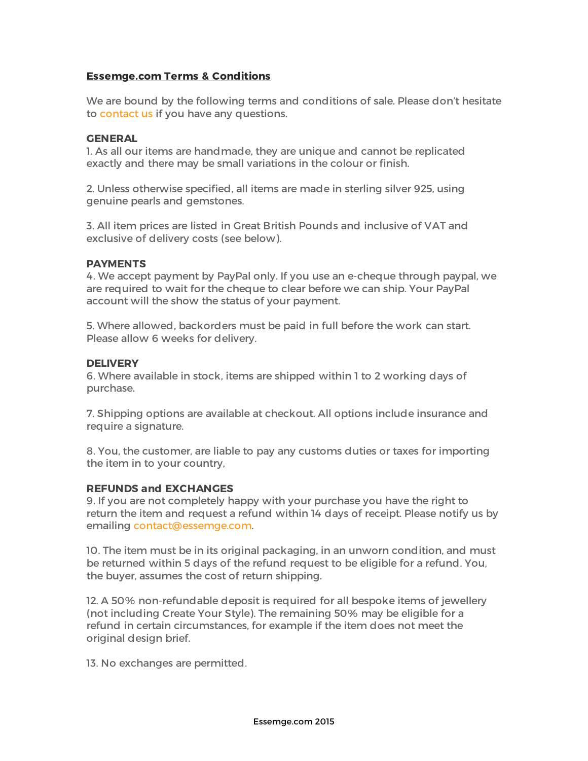# **Essemge.com Terms & Conditions**

We are bound by the following terms and conditions of sale. Please don't hesitate to contact us if you have any questions.

#### **GENERAL**

1. As all our items are handmade, they are unique and cannot be replicated exactly and there may be small variations in the colour or finish.

2. Unless otherwise specified, all items are made in sterling silver 925, using genuine pearls and gemstones.

3. All item prices are listed in Great British Pounds and inclusive of VAT and exclusive of delivery costs (see below).

## **PAYMENTS**

4. We accept payment by PayPal only. If you use an e-cheque through paypal, we are required to wait for the cheque to clear before we can ship. Your PayPal account will the show the status of your payment.

5. Where allowed, backorders must be paid in full before the work can start. Please allow 6 weeks for delivery.

#### **DELIVERY**

6. Where available in stock, items are shipped within 1 to 2 working days of purchase.

7. Shipping options are available at checkout. All options include insurance and require a signature.

8. You, the customer, are liable to pay any customs duties or taxes for importing the item in to your country,

#### **REFUNDS and EXCHANGES**

9. If you are not completely happy with your purchase you have the right to return the item and request a refund within 14 days of receipt. Please notify us by emailing contact@essemge.com.

10. The item must be in its original packaging, in an unworn condition, and must be returned within 5 days of the refund request to be eligible for a refund. You, the buyer, assumes the cost of return shipping.

12. A 50% non-refundable deposit is required for all bespoke items of jewellery (not including Create Your Style). The remaining 50% may be eligible for a refund in certain circumstances, for example if the item does not meet the original design brief.

13. No exchanges are permitted.